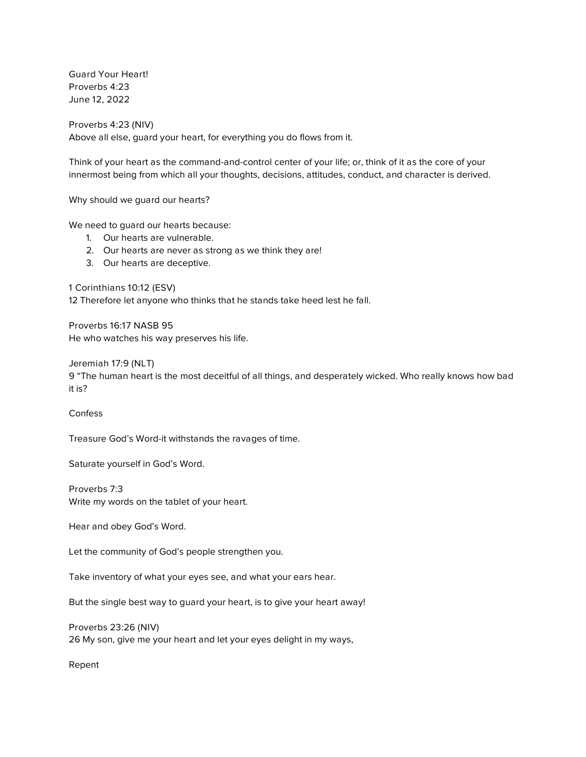*Guard Your Heart! Proverbs 4:23 June 12, 2022*

*Proverbs 4:23 (NIV) Above all else, guard your heart, for everything you do flows from it.*

*Think of your heart as the command-and-control center of your life; or, think of it as the core of your innermost being from which all your thoughts, decisions, attitudes, conduct, and character is derived.*

*Why should we guard our hearts?*

*We need to guard our hearts because:*

- *1. Our hearts are vulnerable.*
- *2. Our hearts are never as strong as we think they are!*
- *3. Our hearts are deceptive.*

*1 Corinthians 10:12 (ESV)*

*12 Therefore let anyone who thinks that he stands take heed lest he fall.*

*Proverbs 16:17 NASB 95 He who watches his way preserves his life.*

*Jeremiah 17:9 (NLT)*

*9 "The human heart is the most deceitful of all things, and desperately wicked. Who really knows how bad it is?*

*Confess*

*Treasure God's Word-it withstands the ravages of time.*

*Saturate yourself in God's Word.*

*Proverbs 7:3 Write my words on the tablet of your heart.*

*Hear and obey God's Word.* 

*Let the community of God's people strengthen you.*

*Take inventory of what your eyes see, and what your ears hear.*

*But the single best way to guard your heart, is to give your heart away!*

*Proverbs 23:26 (NIV) 26 My son, give me your heart and let your eyes delight in my ways,*

*Repent*